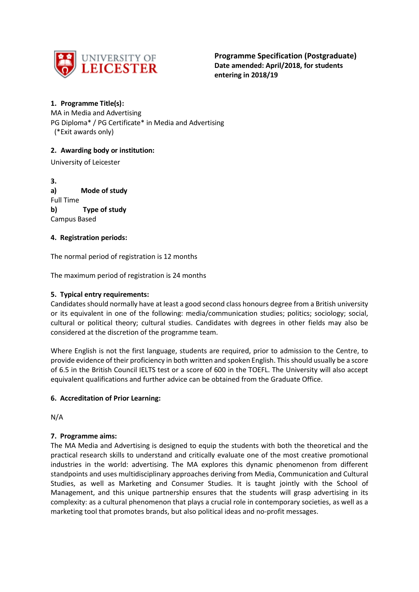

# **1. Programme Title(s):**

MA in Media and Advertising PG Diploma\* / PG Certificate\* in Media and Advertising (\*Exit awards only)

# **2. Awarding body or institution:**

University of Leicester

**3. a) Mode of study** Full Time **b) Type of study** Campus Based

# **4. Registration periods:**

The normal period of registration is 12 months

The maximum period of registration is 24 months

# **5. Typical entry requirements:**

Candidates should normally have at least a good second class honours degree from a British university or its equivalent in one of the following: media/communication studies; politics; sociology; social, cultural or political theory; cultural studies. Candidates with degrees in other fields may also be considered at the discretion of the programme team.

Where English is not the first language, students are required, prior to admission to the Centre, to provide evidence of their proficiency in both written and spoken English. This should usually be a score of 6.5 in the British Council IELTS test or a score of 600 in the TOEFL. The University will also accept equivalent qualifications and further advice can be obtained from the Graduate Office.

# **6. Accreditation of Prior Learning:**

N/A

# **7. Programme aims:**

The MA Media and Advertising is designed to equip the students with both the theoretical and the practical research skills to understand and critically evaluate one of the most creative promotional industries in the world: advertising. The MA explores this dynamic phenomenon from different standpoints and uses multidisciplinary approaches deriving from Media, Communication and Cultural Studies, as well as Marketing and Consumer Studies. It is taught jointly with the School of Management, and this unique partnership ensures that the students will grasp advertising in its complexity: as a cultural phenomenon that plays a crucial role in contemporary societies, as well as a marketing tool that promotes brands, but also political ideas and no-profit messages.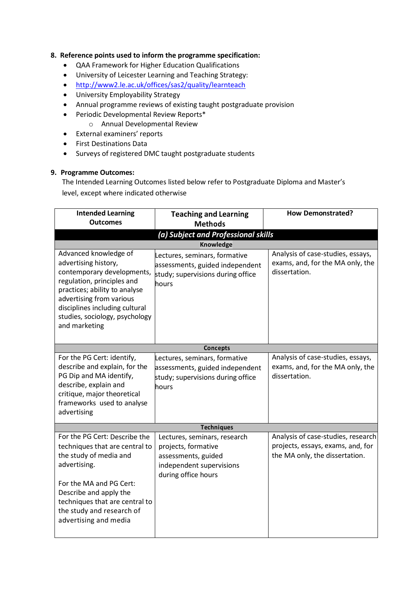## **8. Reference points used to inform the programme specification:**

- QAA Framework for Higher Education Qualifications
- University of Leicester Learning and Teaching Strategy:
- <http://www2.le.ac.uk/offices/sas2/quality/learnteach>
- University Employability Strategy
- Annual programme reviews of existing taught postgraduate provision
- Periodic Developmental Review Reports\*
	- o Annual Developmental Review
- External examiners' reports
- First Destinations Data
- Surveys of registered DMC taught postgraduate students

#### **9. Programme Outcomes:**

The Intended Learning Outcomes listed below refer to Postgraduate Diploma and Master's level, except where indicated otherwise

| <b>Intended Learning</b><br><b>Outcomes</b>                                                                                                                                                                                                                 | <b>Teaching and Learning</b><br><b>Methods</b>                                                                                | <b>How Demonstrated?</b>                                                                                  |
|-------------------------------------------------------------------------------------------------------------------------------------------------------------------------------------------------------------------------------------------------------------|-------------------------------------------------------------------------------------------------------------------------------|-----------------------------------------------------------------------------------------------------------|
|                                                                                                                                                                                                                                                             | (a) Subject and Professional skills                                                                                           |                                                                                                           |
|                                                                                                                                                                                                                                                             | Knowledge                                                                                                                     |                                                                                                           |
| Advanced knowledge of<br>advertising history,<br>contemporary developments,<br>regulation, principles and<br>practices; ability to analyse<br>advertising from various<br>disciplines including cultural<br>studies, sociology, psychology<br>and marketing | Lectures, seminars, formative<br>assessments, guided independent<br>study; supervisions during office<br>hours                | Analysis of case-studies, essays,<br>exams, and, for the MA only, the<br>dissertation.                    |
|                                                                                                                                                                                                                                                             | <b>Concepts</b>                                                                                                               |                                                                                                           |
| For the PG Cert: identify,<br>describe and explain, for the<br>PG Dip and MA identify,<br>describe, explain and<br>critique, major theoretical<br>frameworks used to analyse<br>advertising                                                                 | Lectures, seminars, formative<br>assessments, guided independent<br>study; supervisions during office<br>hours                | Analysis of case-studies, essays,<br>exams, and, for the MA only, the<br>dissertation.                    |
|                                                                                                                                                                                                                                                             | <b>Techniques</b>                                                                                                             |                                                                                                           |
| For the PG Cert: Describe the<br>techniques that are central to<br>the study of media and<br>advertising.<br>For the MA and PG Cert:<br>Describe and apply the<br>techniques that are central to<br>the study and research of<br>advertising and media      | Lectures, seminars, research<br>projects, formative<br>assessments, guided<br>independent supervisions<br>during office hours | Analysis of case-studies, research<br>projects, essays, exams, and, for<br>the MA only, the dissertation. |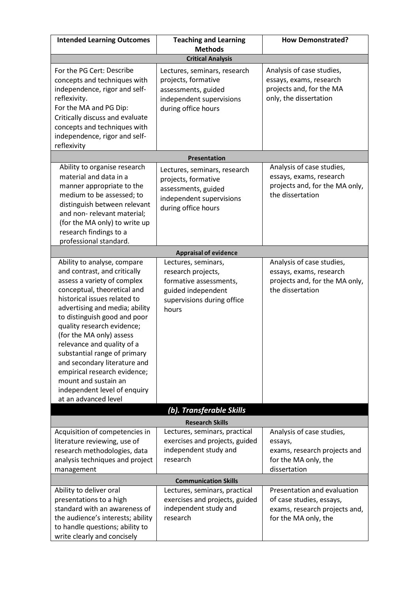| <b>Intended Learning Outcomes</b>                                                                                                                                                                                                                                                                                                                                                                                                                                                                   | <b>Teaching and Learning</b>                                                                                                     | <b>How Demonstrated?</b>                                                                                         |  |
|-----------------------------------------------------------------------------------------------------------------------------------------------------------------------------------------------------------------------------------------------------------------------------------------------------------------------------------------------------------------------------------------------------------------------------------------------------------------------------------------------------|----------------------------------------------------------------------------------------------------------------------------------|------------------------------------------------------------------------------------------------------------------|--|
|                                                                                                                                                                                                                                                                                                                                                                                                                                                                                                     | <b>Methods</b>                                                                                                                   |                                                                                                                  |  |
|                                                                                                                                                                                                                                                                                                                                                                                                                                                                                                     | <b>Critical Analysis</b>                                                                                                         |                                                                                                                  |  |
| For the PG Cert: Describe<br>concepts and techniques with<br>independence, rigor and self-<br>reflexivity.<br>For the MA and PG Dip:<br>Critically discuss and evaluate<br>concepts and techniques with<br>independence, rigor and self-                                                                                                                                                                                                                                                            | Lectures, seminars, research<br>projects, formative<br>assessments, guided<br>independent supervisions<br>during office hours    | Analysis of case studies,<br>essays, exams, research<br>projects and, for the MA<br>only, the dissertation       |  |
| reflexivity                                                                                                                                                                                                                                                                                                                                                                                                                                                                                         |                                                                                                                                  |                                                                                                                  |  |
|                                                                                                                                                                                                                                                                                                                                                                                                                                                                                                     | Presentation                                                                                                                     |                                                                                                                  |  |
| Ability to organise research<br>material and data in a<br>manner appropriate to the<br>medium to be assessed; to<br>distinguish between relevant<br>and non-relevant material;<br>(for the MA only) to write up<br>research findings to a<br>professional standard.                                                                                                                                                                                                                                 | Lectures, seminars, research<br>projects, formative<br>assessments, guided<br>independent supervisions<br>during office hours    | Analysis of case studies,<br>essays, exams, research<br>projects and, for the MA only,<br>the dissertation       |  |
|                                                                                                                                                                                                                                                                                                                                                                                                                                                                                                     | <b>Appraisal of evidence</b>                                                                                                     |                                                                                                                  |  |
| Ability to analyse, compare<br>and contrast, and critically<br>assess a variety of complex<br>conceptual, theoretical and<br>historical issues related to<br>advertising and media; ability<br>to distinguish good and poor<br>quality research evidence;<br>(for the MA only) assess<br>relevance and quality of a<br>substantial range of primary<br>and secondary literature and<br>empirical research evidence;<br>mount and sustain an<br>independent level of enquiry<br>at an advanced level | Lectures, seminars,<br>research projects,<br>formative assessments,<br>guided independent<br>supervisions during office<br>hours | Analysis of case studies,<br>essays, exams, research<br>projects and, for the MA only,<br>the dissertation       |  |
|                                                                                                                                                                                                                                                                                                                                                                                                                                                                                                     | (b). Transferable Skills                                                                                                         |                                                                                                                  |  |
| <b>Research Skills</b>                                                                                                                                                                                                                                                                                                                                                                                                                                                                              |                                                                                                                                  |                                                                                                                  |  |
| Acquisition of competencies in<br>literature reviewing, use of<br>research methodologies, data<br>analysis techniques and project<br>management                                                                                                                                                                                                                                                                                                                                                     | Lectures, seminars, practical<br>exercises and projects, guided<br>independent study and<br>research                             | Analysis of case studies,<br>essays,<br>exams, research projects and<br>for the MA only, the<br>dissertation     |  |
| <b>Communication Skills</b>                                                                                                                                                                                                                                                                                                                                                                                                                                                                         |                                                                                                                                  |                                                                                                                  |  |
| Ability to deliver oral<br>presentations to a high<br>standard with an awareness of<br>the audience's interests; ability<br>to handle questions; ability to<br>write clearly and concisely                                                                                                                                                                                                                                                                                                          | Lectures, seminars, practical<br>exercises and projects, guided<br>independent study and<br>research                             | Presentation and evaluation<br>of case studies, essays,<br>exams, research projects and,<br>for the MA only, the |  |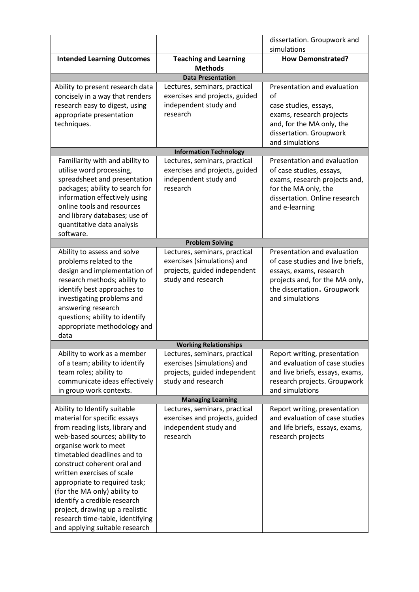|                                                                                                                                                                                                                                                                                                                                                                                                                                                                 |                                                                                                                    | dissertation. Groupwork and                                                                                                                                                    |  |
|-----------------------------------------------------------------------------------------------------------------------------------------------------------------------------------------------------------------------------------------------------------------------------------------------------------------------------------------------------------------------------------------------------------------------------------------------------------------|--------------------------------------------------------------------------------------------------------------------|--------------------------------------------------------------------------------------------------------------------------------------------------------------------------------|--|
|                                                                                                                                                                                                                                                                                                                                                                                                                                                                 |                                                                                                                    | simulations                                                                                                                                                                    |  |
| <b>Intended Learning Outcomes</b>                                                                                                                                                                                                                                                                                                                                                                                                                               | <b>Teaching and Learning</b><br><b>Methods</b>                                                                     | <b>How Demonstrated?</b>                                                                                                                                                       |  |
|                                                                                                                                                                                                                                                                                                                                                                                                                                                                 | <b>Data Presentation</b>                                                                                           |                                                                                                                                                                                |  |
| Ability to present research data<br>concisely in a way that renders<br>research easy to digest, using<br>appropriate presentation<br>techniques.                                                                                                                                                                                                                                                                                                                | Lectures, seminars, practical<br>exercises and projects, guided<br>independent study and<br>research               | Presentation and evaluation<br>of<br>case studies, essays,<br>exams, research projects<br>and, for the MA only, the<br>dissertation. Groupwork<br>and simulations              |  |
|                                                                                                                                                                                                                                                                                                                                                                                                                                                                 | <b>Information Technology</b>                                                                                      |                                                                                                                                                                                |  |
| Familiarity with and ability to<br>utilise word processing,<br>spreadsheet and presentation<br>packages; ability to search for<br>information effectively using<br>online tools and resources<br>and library databases; use of<br>quantitative data analysis<br>software.                                                                                                                                                                                       | Lectures, seminars, practical<br>exercises and projects, guided<br>independent study and<br>research               | Presentation and evaluation<br>of case studies, essays,<br>exams, research projects and,<br>for the MA only, the<br>dissertation. Online research<br>and e-learning            |  |
|                                                                                                                                                                                                                                                                                                                                                                                                                                                                 | <b>Problem Solving</b>                                                                                             |                                                                                                                                                                                |  |
| Ability to assess and solve<br>problems related to the<br>design and implementation of<br>research methods; ability to<br>identify best approaches to<br>investigating problems and<br>answering research<br>questions; ability to identify<br>appropriate methodology and<br>data                                                                                                                                                                              | Lectures, seminars, practical<br>exercises (simulations) and<br>projects, guided independent<br>study and research | Presentation and evaluation<br>of case studies and live briefs,<br>essays, exams, research<br>projects and, for the MA only,<br>the dissertation. Groupwork<br>and simulations |  |
|                                                                                                                                                                                                                                                                                                                                                                                                                                                                 | <b>Working Relationships</b>                                                                                       |                                                                                                                                                                                |  |
| Ability to work as a member<br>of a team; ability to identify<br>team roles; ability to<br>communicate ideas effectively<br>in group work contexts.                                                                                                                                                                                                                                                                                                             | Lectures, seminars, practical<br>exercises (simulations) and<br>projects, guided independent<br>study and research | Report writing, presentation<br>and evaluation of case studies<br>and live briefs, essays, exams,<br>research projects. Groupwork<br>and simulations                           |  |
|                                                                                                                                                                                                                                                                                                                                                                                                                                                                 | <b>Managing Learning</b>                                                                                           |                                                                                                                                                                                |  |
| Ability to Identify suitable<br>material for specific essays<br>from reading lists, library and<br>web-based sources; ability to<br>organise work to meet<br>timetabled deadlines and to<br>construct coherent oral and<br>written exercises of scale<br>appropriate to required task;<br>(for the MA only) ability to<br>identify a credible research<br>project, drawing up a realistic<br>research time-table, identifying<br>and applying suitable research | Lectures, seminars, practical<br>exercises and projects, guided<br>independent study and<br>research               | Report writing, presentation<br>and evaluation of case studies<br>and life briefs, essays, exams,<br>research projects                                                         |  |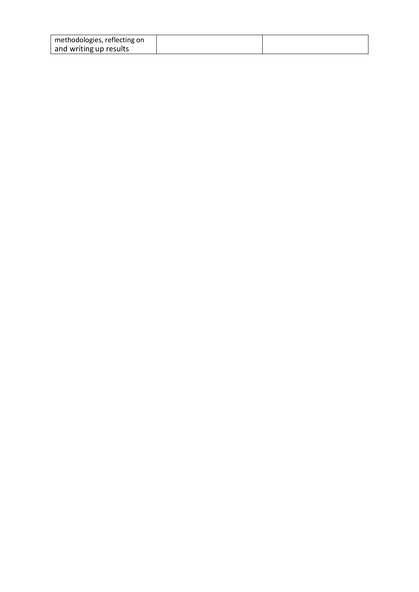| methodologies, reflecting on |  |
|------------------------------|--|
| and writing up results       |  |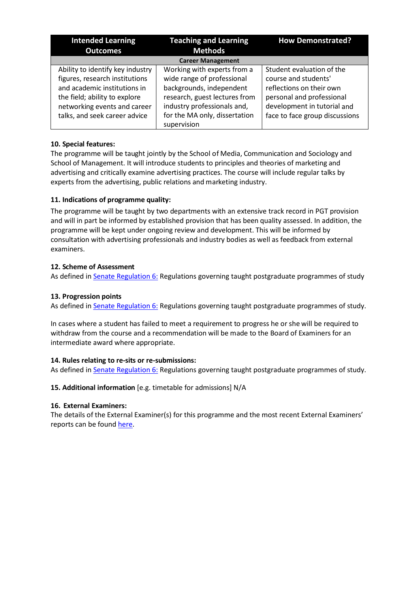| <b>Intended Learning</b><br><b>Outcomes</b>                                                                                                                                                          | <b>Teaching and Learning</b><br><b>Methods</b>                                                                                                                                                        | <b>How Demonstrated?</b>                                                                                                                                                    |  |
|------------------------------------------------------------------------------------------------------------------------------------------------------------------------------------------------------|-------------------------------------------------------------------------------------------------------------------------------------------------------------------------------------------------------|-----------------------------------------------------------------------------------------------------------------------------------------------------------------------------|--|
|                                                                                                                                                                                                      | <b>Career Management</b>                                                                                                                                                                              |                                                                                                                                                                             |  |
| Ability to identify key industry<br>figures, research institutions<br>and academic institutions in<br>the field; ability to explore<br>networking events and career<br>talks, and seek career advice | Working with experts from a<br>wide range of professional<br>backgrounds, independent<br>research, guest lectures from<br>industry professionals and,<br>for the MA only, dissertation<br>supervision | Student evaluation of the<br>course and students'<br>reflections on their own<br>personal and professional<br>development in tutorial and<br>face to face group discussions |  |

## **10. Special features:**

The programme will be taught jointly by the School of Media, Communication and Sociology and School of Management. It will introduce students to principles and theories of marketing and advertising and critically examine advertising practices. The course will include regular talks by experts from the advertising, public relations and marketing industry.

# **11. Indications of programme quality:**

The programme will be taught by two departments with an extensive track record in PGT provision and will in part be informed by established provision that has been quality assessed. In addition, the programme will be kept under ongoing review and development. This will be informed by consultation with advertising professionals and industry bodies as well as feedback from external examiners.

## **12. Scheme of Assessment**

As defined in Senate [Regulation](http://www.le.ac.uk/senate-regulation6) 6: Regulations governing taught postgraduate programmes of study

### **13. Progression points**

As defined in Senate [Regulation](http://www.le.ac.uk/senate-regulation6) 6: Regulations governing taught postgraduate programmes of study.

In cases where a student has failed to meet a requirement to progress he or she will be required to withdraw from the course and a recommendation will be made to the Board of Examiners for an intermediate award where appropriate.

#### **14. Rules relating to re-sits or re-submissions:**

As defined in **Senate [Regulation](http://www.le.ac.uk/senate-regulation6) 6:** Regulations governing taught postgraduate programmes of study.

# **15. Additional information** [e.g. timetable for admissions] N/A

#### **16. External Examiners:**

The details of the External Examiner(s) for this programme and the most recent External Examiners' reports can be foun[d here.](https://exampapers.le.ac.uk/xmlui/handle/123456789/3)